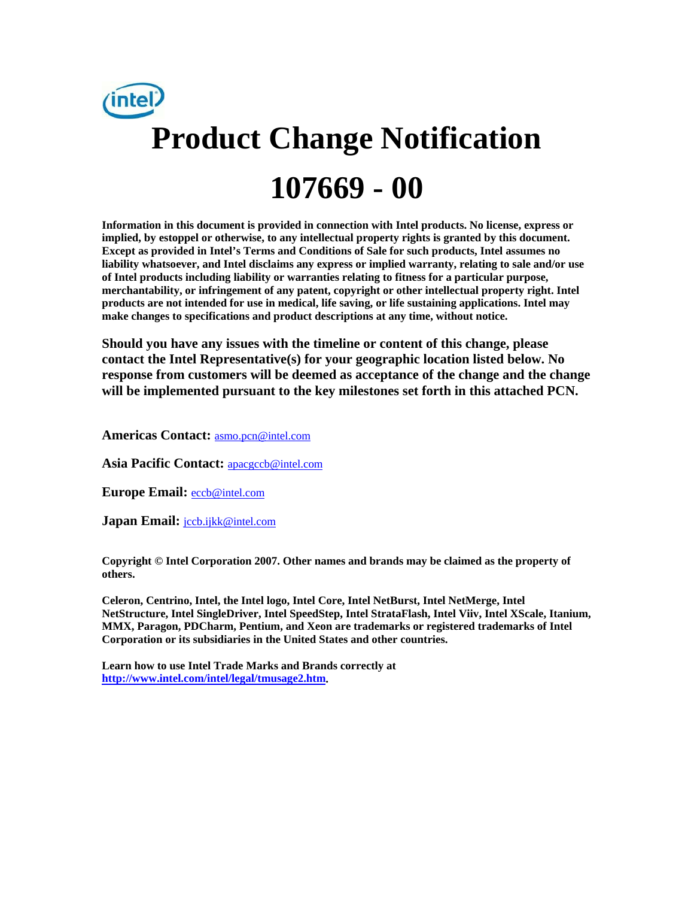

**Information in this document is provided in connection with Intel products. No license, express or implied, by estoppel or otherwise, to any intellectual property rights is granted by this document. Except as provided in Intel's Terms and Conditions of Sale for such products, Intel assumes no liability whatsoever, and Intel disclaims any express or implied warranty, relating to sale and/or use of Intel products including liability or warranties relating to fitness for a particular purpose, merchantability, or infringement of any patent, copyright or other intellectual property right. Intel products are not intended for use in medical, life saving, or life sustaining applications. Intel may make changes to specifications and product descriptions at any time, without notice.** 

**Should you have any issues with the timeline or content of this change, please contact the Intel Representative(s) for your geographic location listed below. No response from customers will be deemed as acceptance of the change and the change will be implemented pursuant to the key milestones set forth in this attached PCN.** 

**Americas Contact:** asmo.pcn@intel.com

**Asia Pacific Contact:** apacgccb@intel.com

**Europe Email:** eccb@intel.com

**Japan Email: jccb.ijkk@intel.com** 

**Copyright © Intel Corporation 2007. Other names and brands may be claimed as the property of others.**

**Celeron, Centrino, Intel, the Intel logo, Intel Core, Intel NetBurst, Intel NetMerge, Intel NetStructure, Intel SingleDriver, Intel SpeedStep, Intel StrataFlash, Intel Viiv, Intel XScale, Itanium, MMX, Paragon, PDCharm, Pentium, and Xeon are trademarks or registered trademarks of Intel Corporation or its subsidiaries in the United States and other countries.** 

**Learn how to use Intel Trade Marks and Brands correctly at http://www.intel.com/intel/legal/tmusage2.htm.**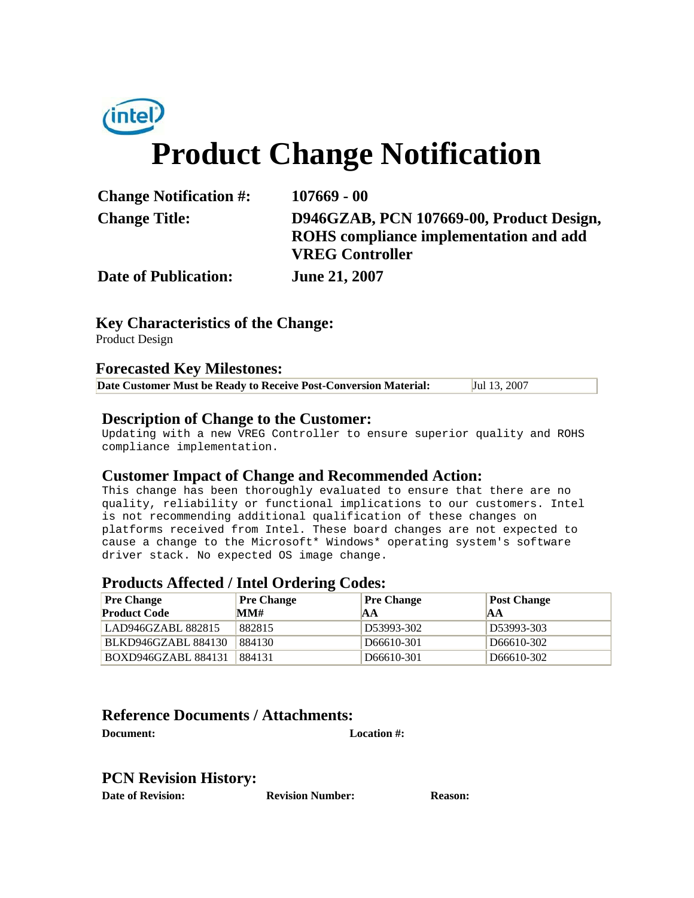

| <b>Change Notification #:</b> | 107669 - 00                                                                                                  |
|-------------------------------|--------------------------------------------------------------------------------------------------------------|
| <b>Change Title:</b>          | D946GZAB, PCN 107669-00, Product Design,<br>ROHS compliance implementation and add<br><b>VREG Controller</b> |
| <b>Date of Publication:</b>   | <b>June 21, 2007</b>                                                                                         |

# **Key Characteristics of the Change:**

Product Design

#### **Forecasted Key Milestones:**

| Date Customer Must be Ready to Receive Post-Conversion Material: | Jul 13, 2007 |
|------------------------------------------------------------------|--------------|
|------------------------------------------------------------------|--------------|

### **Description of Change to the Customer:**

Updating with a new VREG Controller to ensure superior quality and ROHS compliance implementation.

### **Customer Impact of Change and Recommended Action:**

This change has been thoroughly evaluated to ensure that there are no quality, reliability or functional implications to our customers. Intel is not recommending additional qualification of these changes on platforms received from Intel. These board changes are not expected to cause a change to the Microsoft\* Windows\* operating system's software driver stack. No expected OS image change.

#### **Products Affected / Intel Ordering Codes:**

| <b>Pre Change</b><br><b>Product Code</b> | <b>Pre Change</b><br>MM# | <b>Pre Change</b><br>AА | <b>Post Change</b><br>AА |
|------------------------------------------|--------------------------|-------------------------|--------------------------|
| LAD946GZABL 882815                       | 882815                   | D53993-302              | D53993-303               |
| <b>BLKD946GZABL 884130</b>               | 884130                   | D66610-301              | D <sub>666</sub> 10-302  |
| BOXD946GZABL 884131                      | 884131                   | D <sub>666</sub> 10-301 | D <sub>666</sub> 10-302  |

## **Reference Documents / Attachments:**

**Document: Location #:**

# **PCN Revision History:**

**Date of Revision: Revision Number: Reason:**